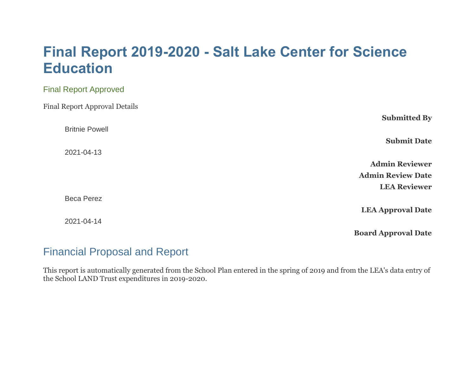# **Final Report 2019-2020 - Salt Lake Center for Science Education**

| <b>Final Report Approved</b>         |                            |
|--------------------------------------|----------------------------|
| <b>Final Report Approval Details</b> |                            |
|                                      | <b>Submitted By</b>        |
| <b>Britnie Powell</b>                |                            |
|                                      | <b>Submit Date</b>         |
| 2021-04-13                           |                            |
|                                      | <b>Admin Reviewer</b>      |
|                                      | <b>Admin Review Date</b>   |
|                                      | <b>LEA Reviewer</b>        |
| <b>Beca Perez</b>                    |                            |
|                                      | <b>LEA Approval Date</b>   |
| 2021-04-14                           |                            |
|                                      | <b>Board Approval Date</b> |

# Financial Proposal and Report

This report is automatically generated from the School Plan entered in the spring of 2019 and from the LEA's data entry of the School LAND Trust expenditures in 2019-2020.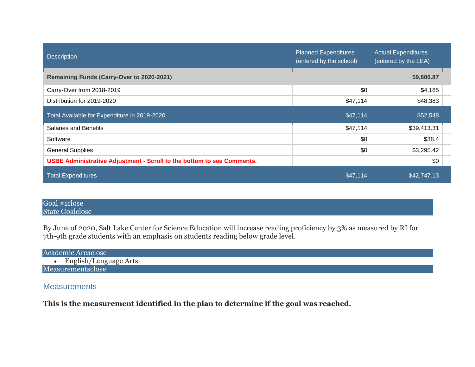| <b>Description</b>                                                            | <b>Planned Expenditures</b><br>(entered by the school) | <b>Actual Expenditures</b><br>(entered by the LEA) |  |
|-------------------------------------------------------------------------------|--------------------------------------------------------|----------------------------------------------------|--|
| Remaining Funds (Carry-Over to 2020-2021)                                     |                                                        | \$9,800.87                                         |  |
| Carry-Over from 2018-2019                                                     | \$0                                                    | \$4,165                                            |  |
| Distribution for 2019-2020                                                    | \$47,114                                               | \$48,383                                           |  |
| Total Available for Expenditure in 2019-2020                                  | \$47,114                                               | \$52,548                                           |  |
| <b>Salaries and Benefits</b>                                                  | \$47,114                                               | \$39,413.31                                        |  |
| Software                                                                      | \$0                                                    | \$38.4                                             |  |
| <b>General Supplies</b>                                                       | \$0                                                    | \$3,295.42                                         |  |
| <b>USBE Administrative Adjustment - Scroll to the bottom to see Comments.</b> |                                                        | \$0                                                |  |
| <b>Total Expenditures</b>                                                     | \$47,114                                               | \$42,747.13                                        |  |

#### Goal #1close State Goalclose

By June of 2020, Salt Lake Center for Science Education will increase reading proficiency by 3% as measured by RI for 7th-9th grade students with an emphasis on students reading below grade level.

| <b>Academic Areaclose</b> |  |
|---------------------------|--|
| English/Language Arts     |  |
| Measurementsclose         |  |

# **Measurements**

**This is the measurement identified in the plan to determine if the goal was reached.**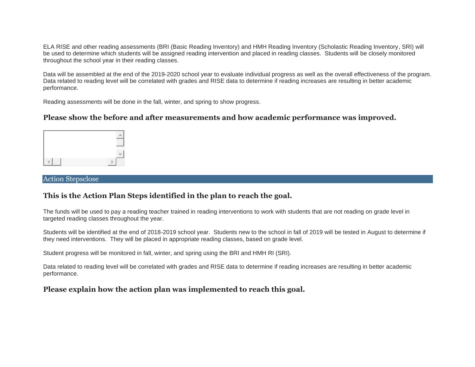ELA RISE and other reading assessments (BRI (Basic Reading Inventory) and HMH Reading Inventory (Scholastic Reading Inventory, SRI) will be used to determine which students will be assigned reading intervention and placed in reading classes. Students will be closely monitored throughout the school year in their reading classes.

Data will be assembled at the end of the 2019-2020 school year to evaluate individual progress as well as the overall effectiveness of the program. Data related to reading level will be correlated with grades and RISE data to determine if reading increases are resulting in better academic performance.

Reading assessments will be done in the fall, winter, and spring to show progress.

#### **Please show the before and after measurements and how academic performance was improved.**



#### Action Stepsclose

#### **This is the Action Plan Steps identified in the plan to reach the goal.**

The funds will be used to pay a reading teacher trained in reading interventions to work with students that are not reading on grade level in targeted reading classes throughout the year.

Students will be identified at the end of 2018-2019 school year. Students new to the school in fall of 2019 will be tested in August to determine if they need interventions. They will be placed in appropriate reading classes, based on grade level.

Student progress will be monitored in fall, winter, and spring using the BRI and HMH RI (SRI).

Data related to reading level will be correlated with grades and RISE data to determine if reading increases are resulting in better academic performance.

#### **Please explain how the action plan was implemented to reach this goal.**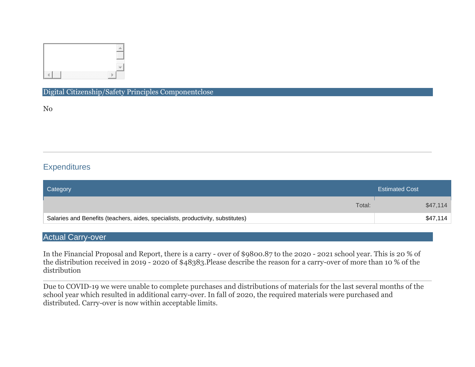

#### Digital Citizenship/Safety Principles Componentclose

No

# **Expenditures**

| Category                                                                        | <b>Estimated Cost</b> |
|---------------------------------------------------------------------------------|-----------------------|
| Total:                                                                          | \$47,114              |
| Salaries and Benefits (teachers, aides, specialists, productivity, substitutes) | \$47,114              |

## Actual Carry-over

In the Financial Proposal and Report, there is a carry - over of \$9800.87 to the 2020 - 2021 school year. This is 20 % of the distribution received in 2019 - 2020 of \$48383.Please describe the reason for a carry-over of more than 10 % of the distribution

Due to COVID-19 we were unable to complete purchases and distributions of materials for the last several months of the school year which resulted in additional carry-over. In fall of 2020, the required materials were purchased and distributed. Carry-over is now within acceptable limits.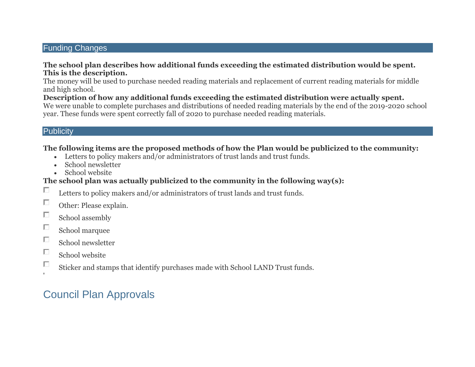## Funding Changes

#### **The school plan describes how additional funds exceeding the estimated distribution would be spent. This is the description.**

The money will be used to purchase needed reading materials and replacement of current reading materials for middle and high school.

**Description of how any additional funds exceeding the estimated distribution were actually spent.** We were unable to complete purchases and distributions of needed reading materials by the end of the 2019-2020 school year. These funds were spent correctly fall of 2020 to purchase needed reading materials.

### **Publicity**

### **The following items are the proposed methods of how the Plan would be publicized to the community:**

- Letters to policy makers and/or administrators of trust lands and trust funds.
- School newsletter
- School website

# **The school plan was actually publicized to the community in the following way(s):**

- П Letters to policy makers and/or administrators of trust lands and trust funds.
- $\Box$ Other: Please explain.
- $\Box$ School assembly
- П School marquee
- $\Box$ School newsletter
- П School website
- П Sticker and stamps that identify purchases made with School LAND Trust funds.

# Council Plan Approvals